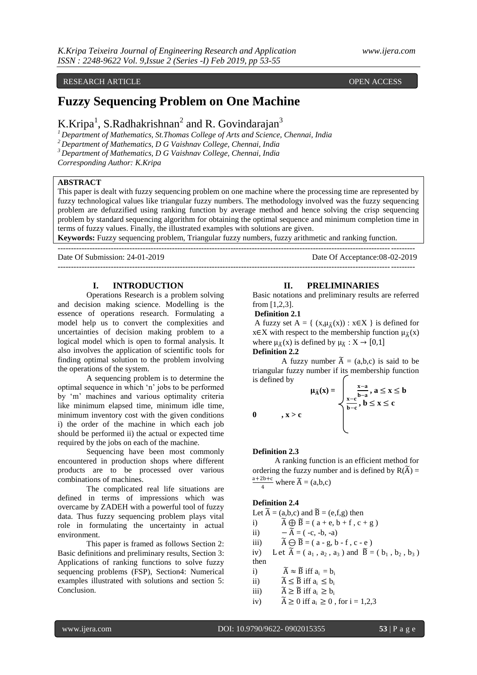### RESEARCH ARTICLE **The CONSTRUCTION CONSTRUCTS** OPEN ACCESS

# **Fuzzy Sequencing Problem on One Machine**

K.Kripa<sup>1</sup>, S.Radhakrishnan<sup>2</sup> and R. Govindarajan<sup>3</sup>

*<sup>1</sup>Department of Mathematics, St.Thomas College of Arts and Science, Chennai, India <sup>2</sup>Department of Mathematics, D G Vaishnav College, Chennai, India*

*<sup>3</sup>Department of Mathematics, D G Vaishnav College, Chennai, India*

*Corresponding Author: K.Kripa*

## **ABSTRACT**

This paper is dealt with fuzzy sequencing problem on one machine where the processing time are represented by fuzzy technological values like triangular fuzzy numbers. The methodology involved was the fuzzy sequencing problem are defuzzified using ranking function by average method and hence solving the crisp sequencing problem by standard sequencing algorithm for obtaining the optimal sequence and minimum completion time in terms of fuzzy values. Finally, the illustrated examples with solutions are given.

**Keywords:** Fuzzy sequencing problem, Triangular fuzzy numbers, fuzzy arithmetic and ranking function. --------------------------------------------------------------------------------------------------------------------------------------

--------------------------------------------------------------------------------------------------------------------------------------

Date Of Submission: 24-01-2019 Date Of Acceptance:08-02-2019

## **I. INTRODUCTION**

Operations Research is a problem solving and decision making science. Modelling is the essence of operations research. Formulating a model help us to convert the complexities and uncertainties of decision making problem to a logical model which is open to formal analysis. It also involves the application of scientific tools for finding optimal solution to the problem involving the operations of the system.

A sequencing problem is to determine the optimal sequence in which 'n' jobs to be performed by 'm' machines and various optimality criteria like minimum elapsed time, minimum idle time, minimum inventory cost with the given conditions i) the order of the machine in which each job should be performed ii) the actual or expected time required by the jobs on each of the machine.

Sequencing have been most commonly encountered in production shops where different products are to be processed over various combinations of machines.

The complicated real life situations are defined in terms of impressions which was overcame by ZADEH with a powerful tool of fuzzy data. Thus fuzzy sequencing problem plays vital role in formulating the uncertainty in actual environment.

This paper is framed as follows Section 2: Basic definitions and preliminary results, Section 3: Applications of ranking functions to solve fuzzy sequencing problems (FSP), Section4: Numerical examples illustrated with solutions and section 5: Conclusion.

## **II. PRELIMINARIES**

Basic notations and preliminary results are referred from [1,2,3].

# **Definition 2.1**

A fuzzy set A = {  $(x,\mu_{\tilde{A}}(x))$  :  $x \in X$  } is defined for  $x \in X$  with respect to the membership function  $\mu_{\tilde{\lambda}}(x)$ where  $\mu_{\tilde{\Lambda}}(x)$  is defined by  $\mu_{\tilde{\Lambda}} : X \to [0,1]$ **Definition 2.2**

A fuzzy number  $\widetilde{A} = (a,b,c)$  is said to be triangular fuzzy number if its membership function is defined by

$$
\mu_{\tilde{A}}(x) = \sqrt{\sum_{\substack{x-c \\ b-c \\ b-c}}^{\frac{x-a}{b-a}}, a \le x \le b}
$$
0,  $x > c$ 

## **Definition 2.3**

A ranking function is an efficient method for ordering the fuzzy number and is defined by  $R(\widetilde{A}) =$  $a+2b+c$  $\frac{2b+c}{4}$  where  $\widetilde{A} = (a,b,c)$ 

## **Definition 2.4**

Let  $\widetilde{A} = (a,b,c)$  and  $\widetilde{B} = (e,f,g)$  then

i)  $\widetilde{A} \oplus \widetilde{B} = (a + e, b + f, c + g)$ 

ii)  $-\widetilde{A} = (-c, -b, -a)$ 

iii)  $\widetilde{A} \ominus \widetilde{B} = (a - g, b - f, c - e)$ 

iv) L et  $\widetilde{A} = (a_1, a_2, a_3)$  and  $\widetilde{B} = (b_1, b_2, b_3)$ then

- i)  $\widetilde{A} \approx \widetilde{B}$  iff  $a_i = b_i$
- ii)  $\widetilde{A} \leq \widetilde{B}$  iff  $a_i \leq b_i$
- iii)  $\widetilde{A} \geq \widetilde{B}$  iff  $a_i \geq b_i$
- iv)  $\widetilde{A} \ge 0$  iff  $a_i \ge 0$ , for  $i = 1,2,3$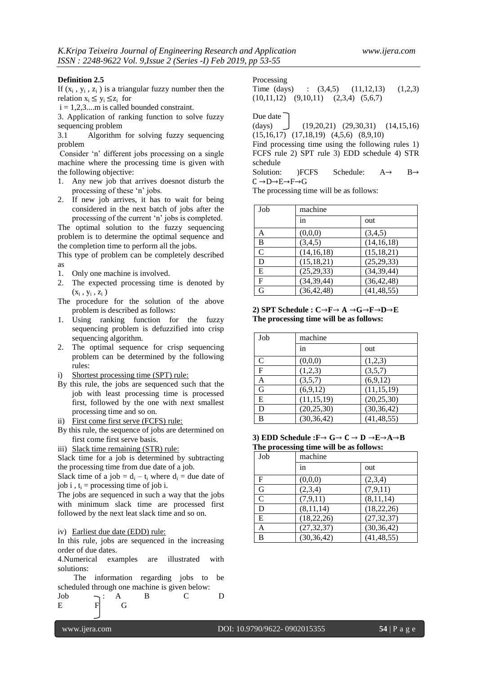## **Definition 2.5**

If  $(x_i, y_i, z_i)$  is a triangular fuzzy number then the relation  $x_i \leq y_i \leq z_i$  for

 $i = 1,2,3,...$  is called bounded constraint.

3. Application of ranking function to solve fuzzy sequencing problem

3.1 Algorithm for solving fuzzy sequencing problem

Consider 'n' different jobs processing on a single machine where the processing time is given with the following objective:

- 1. Any new job that arrives doesnot disturb the processing of these 'n' jobs.
- 2. If new job arrives, it has to wait for being considered in the next batch of jobs after the processing of the current 'n' jobs is completed.

The optimal solution to the fuzzy sequencing problem is to determine the optimal sequence and the completion time to perform all the jobs.

This type of problem can be completely described as

- 1. Only one machine is involved.
- 2. The expected processing time is denoted by  $(x_i, y_i, z_i)$
- The procedure for the solution of the above problem is described as follows:
- 1. Using ranking function for the fuzzy sequencing problem is defuzzified into crisp sequencing algorithm.
- 2. The optimal sequence for crisp sequencing problem can be determined by the following rules:
- i) Shortest processing time (SPT) rule:
- By this rule, the jobs are sequenced such that the job with least processing time is processed first, followed by the one with next smallest processing time and so on.
- ii) First come first serve (FCFS) rule:
- By this rule, the sequence of jobs are determined on first come first serve basis.
- iii) Slack time remaining (STR) rule:

Slack time for a job is determined by subtracting the processing time from due date of a job.

Slack time of a job =  $d_i - t_i$  where  $d_i$  = due date of job i ,  $t_i$  = processing time of job i.

The jobs are sequenced in such a way that the jobs with minimum slack time are processed first followed by the next leat slack time and so on.

#### iv) Earliest due date (EDD) rule:

In this rule, jobs are sequenced in the increasing order of due dates.

4.Numerical examples are illustrated with solutions:

 The information regarding jobs to be scheduled through one machine is given below:

$$
\begin{array}{ccc}\n\text{Job} & \qquad & \text{A} & \qquad \text{B} & \qquad \text{C} & \qquad \text{D} \\
\text{E} & \qquad & \text{F} & \qquad \text{G}\n\end{array}
$$

Processing

Time (days) :  $(3,4,5)$   $(11,12,13)$   $(1,2,3)$  $(10,11,12)$   $(9,10,11)$   $(2,3,4)$   $(5,6,7)$ 

Due date

(days) (19,20,21) (29,30,31) (14,15,16) (15,16,17) (17,18,19) (4,5,6) (8,9,10)

Find processing time using the following rules 1) FCFS rule 2) SPT rule 3) EDD schedule 4) STR schedule

Solution:  $\angle$  )FCFS Schedule: A→ B→  $C \rightarrow D \rightarrow E \rightarrow F \rightarrow G$ 

The processing time will be as follows:

| Job | machine      |              |
|-----|--------------|--------------|
|     | in           | out          |
| A   | (0,0,0)      | (3,4,5)      |
| B   | (3,4,5)      | (14, 16, 18) |
| C   | (14, 16, 18) | (15, 18, 21) |
| D   | (15, 18, 21) | (25, 29, 33) |
| E   | (25, 29, 33) | (34, 39, 44) |
| F   | (34, 39, 44) | (36, 42, 48) |
| G   | (36, 42, 48) | (41, 48, 55) |

2) **SPT Schedule : C→F→ A →G→F→D→E The processing time will be as follows:**

| Job          | machine      |              |
|--------------|--------------|--------------|
|              | in           | out          |
| C            | (0,0,0)      | (1,2,3)      |
| $\mathbf{F}$ | (1,2,3)      | (3,5,7)      |
| А            | (3,5,7)      | (6,9,12)     |
| G            | (6,9,12)     | (11, 15, 19) |
| E            | (11, 15, 19) | (20, 25, 30) |
| D            | (20, 25, 30) | (30, 36, 42) |
| B            | (30, 36, 42) | (41, 48, 55) |

**3**) **EDD** Schedule : $F \rightarrow G \rightarrow C \rightarrow D \rightarrow E \rightarrow A \rightarrow B$ **The processing time will be as follows:**

| Job           | machine      |              |
|---------------|--------------|--------------|
|               | in           | out          |
| F             | (0,0,0)      | (2,3,4)      |
| G             | (2,3,4)      | (7,9,11)     |
| $\mathcal{C}$ | (7, 9, 11)   | (8, 11, 14)  |
| D             | (8, 11, 14)  | (18, 22, 26) |
| E             | (18, 22, 26) | (27, 32, 37) |
| A             | (27, 32, 37) | (30, 36, 42) |
| B             | (30, 36, 42) | (41, 48, 55) |